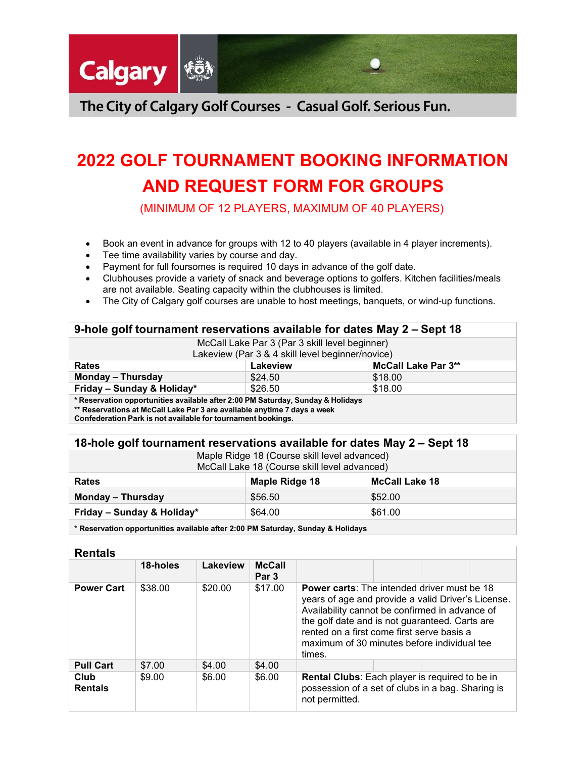

The City of Calgary Golf Courses - Casual Golf. Serious Fun.

# **2022 GOLF TOURNAMENT BOOKING INFORMATION AND REQUEST FORM FOR GROUPS**

(MINIMUM OF 12 PLAYERS, MAXIMUM OF 40 PLAYERS)

- Book an event in advance for groups with 12 to 40 players (available in 4 player increments).
- Tee time availability varies by course and day.
- Payment for full foursomes is required 10 days in advance of the golf date.
- Clubhouses provide a variety of snack and beverage options to golfers. Kitchen facilities/meals are not available. Seating capacity within the clubhouses is limited.
- The City of Calgary golf courses are unable to host meetings, banquets, or wind-up functions.

| 9-hole golf tournament reservations available for dates May 2 – Sept 18                                                                                     |          |                            |  |
|-------------------------------------------------------------------------------------------------------------------------------------------------------------|----------|----------------------------|--|
| McCall Lake Par 3 (Par 3 skill level beginner)<br>Lakeview (Par 3 & 4 skill level beginner/novice)                                                          |          |                            |  |
| <b>Rates</b>                                                                                                                                                | Lakeview | <b>McCall Lake Par 3**</b> |  |
| <b>Monday - Thursday</b>                                                                                                                                    | \$24.50  | \$18.00                    |  |
| Friday - Sunday & Holiday*                                                                                                                                  | \$26.50  | \$18.00                    |  |
| * Reservation opportunities available after 2:00 PM Saturday, Sunday & Holidays<br>** Reservations at McCall Lake Par 3 are available anytime 7 days a week |          |                            |  |

**Confederation Park is not available for tournament bookings.**

| 18-hole golf tournament reservations available for dates May 2 – Sept 18                     |                |                       |  |
|----------------------------------------------------------------------------------------------|----------------|-----------------------|--|
| Maple Ridge 18 (Course skill level advanced)<br>McCall Lake 18 (Course skill level advanced) |                |                       |  |
| <b>Rates</b>                                                                                 | Maple Ridge 18 | <b>McCall Lake 18</b> |  |
| <b>Monday - Thursday</b>                                                                     | \$56.50        | \$52.00               |  |
| Friday - Sunday & Holiday*                                                                   | \$64.00        | \$61.00               |  |
|                                                                                              |                |                       |  |

**\* Reservation opportunities available after 2:00 PM Saturday, Sunday & Holidays**

| <b>Rentals</b>         |          |          |                                   |                                                                                                                                                                                                                                                                                                                     |  |
|------------------------|----------|----------|-----------------------------------|---------------------------------------------------------------------------------------------------------------------------------------------------------------------------------------------------------------------------------------------------------------------------------------------------------------------|--|
|                        | 18-holes | Lakeview | <b>McCall</b><br>Par <sub>3</sub> |                                                                                                                                                                                                                                                                                                                     |  |
| <b>Power Cart</b>      | \$38.00  | \$20.00  | \$17.00                           | <b>Power carts:</b> The intended driver must be 18<br>years of age and provide a valid Driver's License.<br>Availability cannot be confirmed in advance of<br>the golf date and is not guaranteed. Carts are<br>rented on a first come first serve basis a<br>maximum of 30 minutes before individual tee<br>times. |  |
| <b>Pull Cart</b>       | \$7.00   | \$4.00   | \$4.00                            |                                                                                                                                                                                                                                                                                                                     |  |
| Club<br><b>Rentals</b> | \$9.00   | \$6.00   | \$6.00                            | Rental Clubs: Each player is required to be in<br>possession of a set of clubs in a bag. Sharing is<br>not permitted.                                                                                                                                                                                               |  |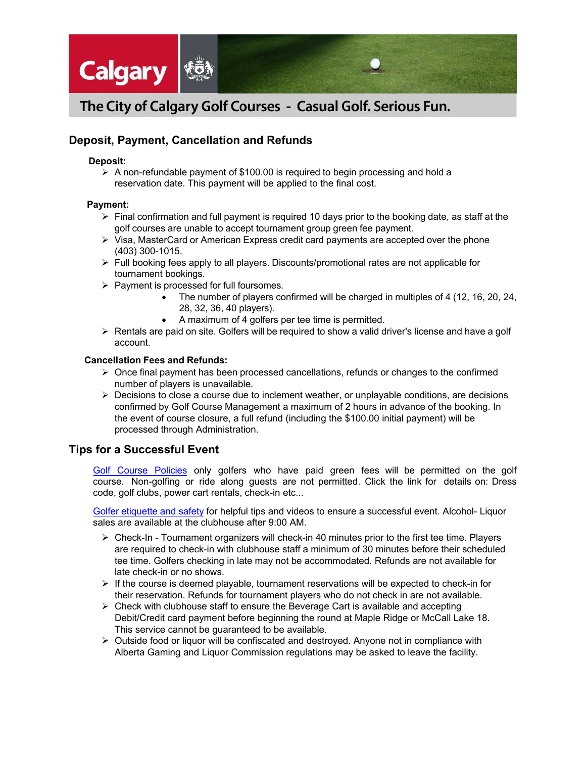

# The City of Calgary Golf Courses - Casual Golf. Serious Fun.

# **Deposit, Payment, Cancellation and Refunds**

#### **Deposit:**

 $\triangleright$  A non-refundable payment of \$100.00 is required to begin processing and hold a reservation date. This payment will be applied to the final cost.

### **Payment:**

- $\triangleright$  Final confirmation and full payment is required 10 days prior to the booking date, as staff at the golf courses are unable to accept tournament group green fee payment.
- $\triangleright$  Visa, MasterCard or American Express credit card payments are accepted over the phone (403) 300-1015.
- $\triangleright$  Full booking fees apply to all players. Discounts/promotional rates are not applicable for tournament bookings.
- $\triangleright$  Payment is processed for full foursomes.
	- The number of players confirmed will be charged in multiples of 4 (12, 16, 20, 24, 28, 32, 36, 40 players).
	- A maximum of 4 golfers per tee time is permitted.
- $\triangleright$  Rentals are paid on site. Golfers will be required to show a valid driver's license and have a golf account.

### **Cancellation Fees and Refunds:**

- $\triangleright$  Once final payment has been processed cancellations, refunds or changes to the confirmed number of players is unavailable.
- $\triangleright$  Decisions to close a course due to inclement weather, or unplayable conditions, are decisions confirmed by Golf Course Management a maximum of 2 hours in advance of the booking. In the event of course closure, a full refund (including the \$100.00 initial payment) will be processed through Administration.

# **Tips for a Successful Event**

Golf [Course](http://www.calgary.ca/CSPS/Recreation/Pages/Golf-courses/Policies.aspx) Policies only golfers who have paid green fees will be permitted on the golf course. Non-golfing or ride along guests are not permitted. Click the link for details on: Dress code, golf clubs, power cart rentals, check-in etc...

Golfer etiquette [and safety](http://www.calgary.ca/CSPS/Recreation/Pages/Golf-courses/Golfer-etiquette-and-safety.aspx) for helpful tips and videos to ensure a successful event. Alcohol- Liquor sales are available at the clubhouse after 9:00 AM.

- $\triangleright$  Check-In Tournament organizers will check-in 40 minutes prior to the first tee time. Players are required to check-in with clubhouse staff a minimum of 30 minutes before their scheduled tee time. Golfers checking in late may not be accommodated. Refunds are not available for late check-in or no shows.
- $\triangleright$  If the course is deemed playable, tournament reservations will be expected to check-in for their reservation. Refunds for tournament players who do not check in are not available.
- $\triangleright$  Check with clubhouse staff to ensure the Beverage Cart is available and accepting Debit/Credit card payment before beginning the round at Maple Ridge or McCall Lake 18. This service cannot be guaranteed to be available.
- $\triangleright$  Outside food or liquor will be confiscated and destroyed. Anyone not in compliance with Alberta Gaming and Liquor Commission regulations may be asked to leave the facility.